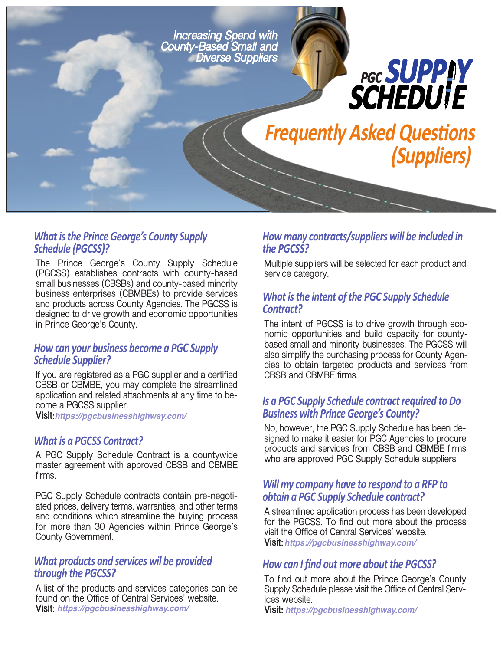

# *What isthe Prince George's County Supply Schedule (PGCSS)?*

**The Prince George's County Supply Schedule (PGCSS) establishes contracts with county-based small businesses (CBSBs) and county-based minority business enterprises (CBMBEs) to provide services and products across County Agencies. The PGCSS is designed to drive growth and economic opportunities in Prince George's County.**

#### *How can your business become a PGC Supply Schedule Supplier?*

**If you are registered as a PGC supplier and a certified CBSB or CBMBE, you may complete the streamlined application and related attachments at any time to become a PGCSS supplier.**

**Visit: https://pgcbusinesshighway.com/**

#### *What is a PGCSS Contract?*

**A PGC Supply Schedule Contract is a countywide master agreement with approved CBSB and CBMBE firms.**

**PGC Supply Schedule contracts contain pre-negotiated prices, delivery terms, warranties, and other terms and conditions which streamline the buying process for more than 30 Agencies within Prince George's County Government.**

#### *What products and services wil be provided through the PGCSS?*

**A list of the products and services categories can be found on the Office of Central Services' website. Visit:** https://pgcbusinesshighway.com/

# *How many contracts/suppliers will be included in the PGCSS?*

**Multiple suppliers will be selected for each product and service category.**

# *What isthe intent of the PGC Supply Schedule Contract?*

**The intent of PGCSS is to drive growth through economic opportunities and build capacity for countybased small and minority businesses. The PGCSS will also simplify the purchasing process for County Agencies to obtain targeted products and services from CBSB and CBMBE firms.**

## *Is a PGC Supply Schedule contractrequired to Do Business with Prince George's County?*

**No, however, the PGC Supply Schedule has been designed to make it easier for PGC Agencies to procure products and services from CBSB and CBMBE firms who are approved PGC Supply Schedule suppliers.**

#### *Will my company have to respond to a RFP to obtain a PGC Supply Schedule contract?*

**A streamlined application process has been developed for the PGCSS. To find out more about the process visit the Office of Central Services' website. Visit: https://pgcbusinesshighway.com/**

#### *How can I find out more about the PGCSS?*

**To find out more about the Prince George's County Supply Schedule please visit the Office of Central Services website.**

**Visit: https://pgcbusinesshighway.com/ https://pgcbusinesshighway.com/**